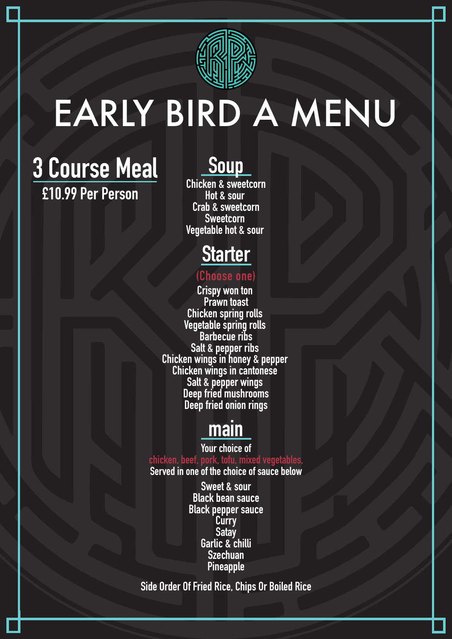

# EARLY BIRD A MENU

### **3 Course Meal**

### **Soup**

**£10.99 Per Person Chicken & sweetcorn Hot & sour Crab & sweetcorn Sweetcorn Vegetable hot & sour** 

### **Starter**

#### **(Choose one)**

**Crispy won ton Prawn toast Chicken spring rolls Vegetable spring rolls Barbecue ribs Salt & pepper ribs Chicken wings in honey & pepper Chicken wings in cantonese Salt & pepper wings Deep fried mushrooms Deep fried onion rings**

#### **main**

**Your choice of chicken, beef, pork, tofu, mixed vegetables, Served in one of the choice of sauce below**

> **Sweet & sour Black bean sauce Black pepper sauce Curry Satay Garlic & chilli Szechuan Pineapple**

**Side Order Of Fried Rice, Chips Or Boiled Rice**